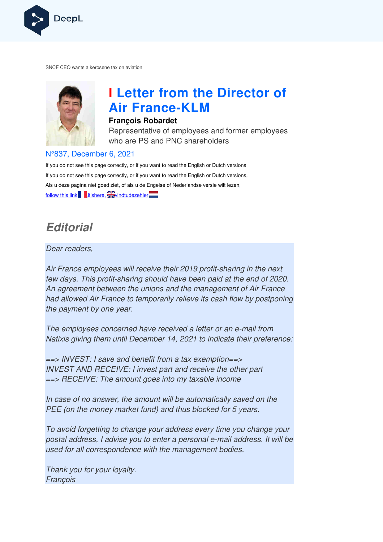

SNCF CEO wants a kerosene tax on aviation



# **I Letter from the Director of Air France France-KLM**

#### **François Robardet**

Representative of employees and former employees who are PS and PNC shareholders

#### N°837, December 6, 2021

If you do not see this page correctly, or if you want to read the English or Dutch versions If you do not see this page correctly, or if you want to read the English or Dutch versions, If you do not see this page correctly, or if you want to read the English or Dutch versior<br>Als u deze pagina niet goed ziet, of als u de Engelse of Nederlandse versie wilt lezen, follow this link  $\blacksquare$  itishere,  $\mathbb{\tilde{A}}$  vindtudezehier

## **Editorial**

Dear readers,

Air France employees will receive their 2019 profit-sharing in the next few days. This profit-sharing should have been paid at the end of 2020. An agreement between the unions and the management of Air France few days. This profit-sharing should have been paid at the end of 2020.<br>An agreement between the unions and the management of Air France<br>had allowed Air France to temporarily relieve its cash flow by postponing the payment by one year. re their 2019 profit-sharing<br>
and have been paid at the<br>
s and the management or<br>
rarily relieve its cash flow<br>
received a letter or an e-m<br>
received a letter or an e-m<br>
received a letter or an e-m<br>
rereived a letter or an

The employees concerned have received a letter or an e-mail from Natixis giving them until December 14, 2021 to indicate their preference:

==> INVEST: I save and benefit from a tax exemption==> INVEST AND RECEIVE: I invest part and receive the other part ==> RECEIVE: The amount goes into my taxable income

In case of no answer, the amount will be automatically saved on the PEE (on the money market fund) and thus blocked for 5 years.

To avoid forgetting to change your address every time you change your postal address, I advise you to enter a personal e-mail address. It will be used for all correspondence with the management bodies.

Thank you for your loyalty. François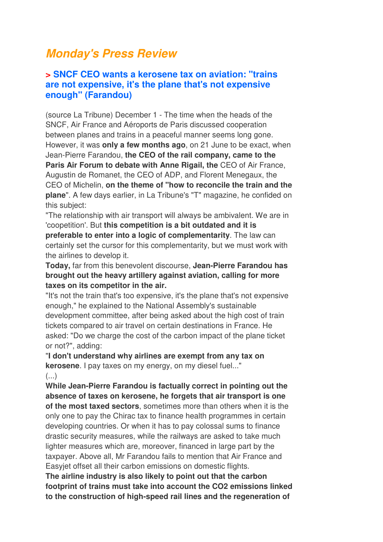## **Monday's Press Review**

## **> SNCF CEO wants a kerosene tax on aviation: "trains are not expensive, it's the plane that's not expensive enough" (Farandou)**

(source La Tribune) December 1 - The time when the heads of the SNCF, Air France and Aéroports de Paris discussed cooperation between planes and trains in a peaceful manner seems long gone. However, it was **only a few months ago**, on 21 June to be exact, when Jean-Pierre Farandou, **the CEO of the rail company, came to the Paris Air Forum to debate with Anne Rigail, the CEO of Air France,** Augustin de Romanet, the CEO of ADP, and Florent Menegaux, the CEO of Michelin, **on the theme of "how to reconcile the train and the plane**". A few days earlier, in La Tribune's "T" magazine, he confided on this subject:

"The relationship with air transport will always be ambivalent. We are in 'coopetition'. But **this competition is a bit outdated and it is preferable to enter into a logic of complementarity**. The law can certainly set the cursor for this complementarity, but we must work with the airlines to develop it.

**Today,** far from this benevolent discourse, **Jean-Pierre Farandou has brought out the heavy artillery against aviation, calling for more taxes on its competitor in the air.** 

"It's not the train that's too expensive, it's the plane that's not expensive enough," he explained to the National Assembly's sustainable development committee, after being asked about the high cost of train tickets compared to air travel on certain destinations in France. He asked: "Do we charge the cost of the carbon impact of the plane ticket or not?", adding:

"**I don't understand why airlines are exempt from any tax on kerosene**. I pay taxes on my energy, on my diesel fuel..."  $\left( \ldots \right)$ 

**While Jean-Pierre Farandou is factually correct in pointing out the absence of taxes on kerosene, he forgets that air transport is one of the most taxed sectors**, sometimes more than others when it is the only one to pay the Chirac tax to finance health programmes in certain developing countries. Or when it has to pay colossal sums to finance drastic security measures, while the railways are asked to take much lighter measures which are, moreover, financed in large part by the taxpayer. Above all, Mr Farandou fails to mention that Air France and Easyjet offset all their carbon emissions on domestic flights.

**The airline industry is also likely to point out that the carbon footprint of trains must take into account the CO2 emissions linked to the construction of high-speed rail lines and the regeneration of**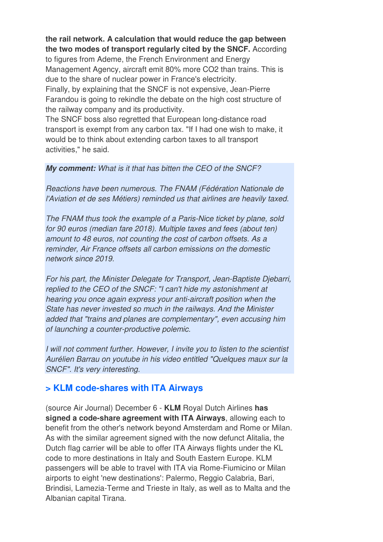#### **the rail network. A calculation that would reduce the gap between the two modes of transport regularly cited by the SNCF.** According

to figures from Ademe, the French Environment and Energy Management Agency, aircraft emit 80% more CO2 than trains. This is due to the share of nuclear power in France's electricity. Finally, by explaining that the SNCF is not expensive, Jean-Pierre Farandou is going to rekindle the debate on the high cost structure of the railway company and its productivity.

The SNCF boss also regretted that European long-distance road transport is exempt from any carbon tax. "If I had one wish to make, it would be to think about extending carbon taxes to all transport activities," he said.

#### **My comment:** What is it that has bitten the CEO of the SNCF?

Reactions have been numerous. The FNAM (Fédération Nationale de l'Aviation et de ses Métiers) reminded us that airlines are heavily taxed.

The FNAM thus took the example of a Paris-Nice ticket by plane, sold for 90 euros (median fare 2018). Multiple taxes and fees (about ten) amount to 48 euros, not counting the cost of carbon offsets. As a reminder, Air France offsets all carbon emissions on the domestic network since 2019.

For his part, the Minister Delegate for Transport, Jean-Baptiste Djebarri, replied to the CEO of the SNCF: "I can't hide my astonishment at hearing you once again express your anti-aircraft position when the State has never invested so much in the railways. And the Minister added that "trains and planes are complementary", even accusing him of launching a counter-productive polemic.

I will not comment further. However, I invite you to listen to the scientist Aurélien Barrau on youtube in his video entitled "Quelques maux sur la SNCF". It's very interesting.

## **> KLM code-shares with ITA Airways**

(source Air Journal) December 6 - **KLM** Royal Dutch Airlines **has signed a code-share agreement with ITA Airways**, allowing each to benefit from the other's network beyond Amsterdam and Rome or Milan. As with the similar agreement signed with the now defunct Alitalia, the Dutch flag carrier will be able to offer ITA Airways flights under the KL code to more destinations in Italy and South Eastern Europe. KLM passengers will be able to travel with ITA via Rome-Fiumicino or Milan airports to eight 'new destinations': Palermo, Reggio Calabria, Bari, Brindisi, Lamezia-Terme and Trieste in Italy, as well as to Malta and the Albanian capital Tirana.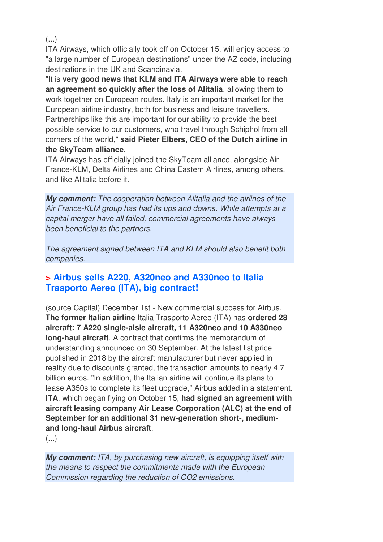(...)

ITA Airways, which officially took off on October 15, will enjoy access to "a large number of European destinations" under the AZ code, including destinations in the UK and Scandinavia.

"It is **very good news that KLM and ITA Airways were able to reach an agreement so quickly after the loss of Alitalia**, allowing them to work together on European routes. Italy is an important market for the European airline industry, both for business and leisure travellers. Partnerships like this are important for our ability to provide the best possible service to our customers, who travel through Schiphol from all corners of the world," **said Pieter Elbers, CEO of the Dutch airline in the SkyTeam alliance**.

ITA Airways has officially joined the SkyTeam alliance, alongside Air France-KLM, Delta Airlines and China Eastern Airlines, among others, and like Alitalia before it.

**My comment:** The cooperation between Alitalia and the airlines of the Air France-KLM group has had its ups and downs. While attempts at a capital merger have all failed, commercial agreements have always been beneficial to the partners.

The agreement signed between ITA and KLM should also benefit both companies.

## **> Airbus sells A220, A320neo and A330neo to Italia Trasporto Aereo (ITA), big contract!**

(source Capital) December 1st - New commercial success for Airbus. **The former Italian airline** Italia Trasporto Aereo (ITA) has **ordered 28 aircraft: 7 A220 single-aisle aircraft, 11 A320neo and 10 A330neo long-haul aircraft**. A contract that confirms the memorandum of understanding announced on 30 September. At the latest list price published in 2018 by the aircraft manufacturer but never applied in reality due to discounts granted, the transaction amounts to nearly 4.7 billion euros. "In addition, the Italian airline will continue its plans to lease A350s to complete its fleet upgrade," Airbus added in a statement. **ITA**, which began flying on October 15, **had signed an agreement with aircraft leasing company Air Lease Corporation (ALC) at the end of September for an additional 31 new-generation short-, mediumand long-haul Airbus aircraft**.

(...)

**My comment:** ITA, by purchasing new aircraft, is equipping itself with the means to respect the commitments made with the European Commission regarding the reduction of CO2 emissions.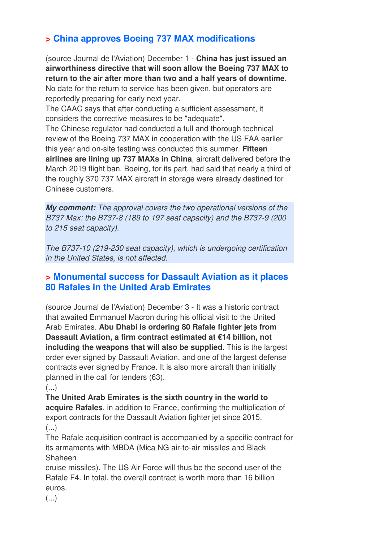## **> China approves Boeing 737 MAX modifications**

(source Journal de l'Aviation) December 1 - **China has just issued an airworthiness directive that will soon allow the Boeing 737 MAX to return to the air after more than two and a half years of downtime**. No date for the return to service has been given, but operators are

reportedly preparing for early next year.

The CAAC says that after conducting a sufficient assessment, it considers the corrective measures to be "adequate".

The Chinese regulator had conducted a full and thorough technical review of the Boeing 737 MAX in cooperation with the US FAA earlier this year and on-site testing was conducted this summer. **Fifteen airlines are lining up 737 MAXs in China**, aircraft delivered before the March 2019 flight ban. Boeing, for its part, had said that nearly a third of the roughly 370 737 MAX aircraft in storage were already destined for Chinese customers.

**My comment:** The approval covers the two operational versions of the B737 Max: the B737-8 (189 to 197 seat capacity) and the B737-9 (200 to 215 seat capacity).

The B737-10 (219-230 seat capacity), which is undergoing certification in the United States, is not affected.

## **> Monumental success for Dassault Aviation as it places 80 Rafales in the United Arab Emirates**

(source Journal de l'Aviation) December 3 - It was a historic contract that awaited Emmanuel Macron during his official visit to the United Arab Emirates. **Abu Dhabi is ordering 80 Rafale fighter jets from Dassault Aviation, a firm contract estimated at €14 billion, not including the weapons that will also be supplied**. This is the largest order ever signed by Dassault Aviation, and one of the largest defense contracts ever signed by France. It is also more aircraft than initially planned in the call for tenders (63).

(...)

**The United Arab Emirates is the sixth country in the world to acquire Rafales**, in addition to France, confirming the multiplication of export contracts for the Dassault Aviation fighter jet since 2015.  $(\ldots)$ 

The Rafale acquisition contract is accompanied by a specific contract for its armaments with MBDA (Mica NG air-to-air missiles and Black Shaheen

cruise missiles). The US Air Force will thus be the second user of the Rafale F4. In total, the overall contract is worth more than 16 billion euros.

(...)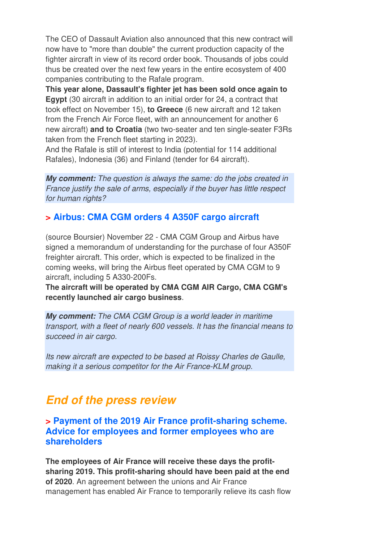The CEO of Dassault Aviation also announced that this new contract will now have to "more than double" the current production capacity of the fighter aircraft in view of its record order book. Thousands of jobs could thus be created over the next few years in the entire ecosystem of 400 companies contributing to the Rafale program.

**This year alone, Dassault's fighter jet has been sold once again to Egypt** (30 aircraft in addition to an initial order for 24, a contract that took effect on November 15), **to Greece** (6 new aircraft and 12 taken from the French Air Force fleet, with an announcement for another 6 new aircraft) **and to Croatia** (two two-seater and ten single-seater F3Rs taken from the French fleet starting in 2023).

And the Rafale is still of interest to India (potential for 114 additional Rafales), Indonesia (36) and Finland (tender for 64 aircraft).

**My comment:** The question is always the same: do the jobs created in France justify the sale of arms, especially if the buyer has little respect for human rights?

## **> Airbus: CMA CGM orders 4 A350F cargo aircraft**

(source Boursier) November 22 - CMA CGM Group and Airbus have signed a memorandum of understanding for the purchase of four A350F freighter aircraft. This order, which is expected to be finalized in the coming weeks, will bring the Airbus fleet operated by CMA CGM to 9 aircraft, including 5 A330-200Fs.

**The aircraft will be operated by CMA CGM AIR Cargo, CMA CGM's recently launched air cargo business**.

**My comment:** The CMA CGM Group is a world leader in maritime transport, with a fleet of nearly 600 vessels. It has the financial means to succeed in air cargo.

Its new aircraft are expected to be based at Roissy Charles de Gaulle, making it a serious competitor for the Air France-KLM group.

## **End of the press review**

**> Payment of the 2019 Air France profit-sharing scheme. Advice for employees and former employees who are shareholders** 

**The employees of Air France will receive these days the profitsharing 2019. This profit-sharing should have been paid at the end of 2020**. An agreement between the unions and Air France management has enabled Air France to temporarily relieve its cash flow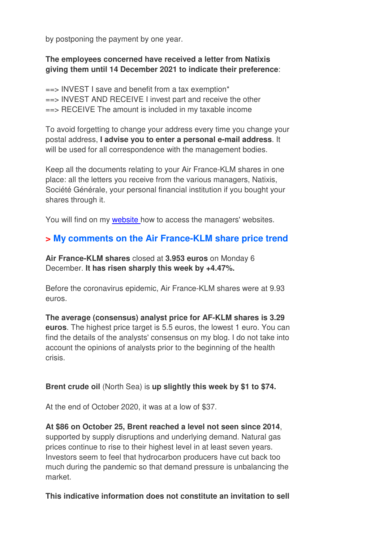by postponing the payment by one year.

#### **The employees concerned have received a letter from Natixis giving them until 14 December 2021 to indicate their preference**:

 $\epsilon$ => INVEST I save and benefit from a tax exemption\* ==> INVEST AND RECEIVE I invest part and receive the other  $\Rightarrow$  RECEIVE The amount is included in my taxable income

To avoid forgetting to change your address every time you change your postal address, **I advise you to enter a personal e-mail address**. It will be used for all correspondence with the management bodies.

Keep all the documents relating to your Air France-KLM shares in one place: all the letters you receive from the various managers, Natixis, Société Générale, your personal financial institution if you bought your shares through it.

You will find on my **website** how to access the managers' websites.

## **> My comments on the Air France-KLM share price trend**

**Air France-KLM shares** closed at **3.953 euros** on Monday 6 December. **It has risen sharply this week by +4.47%.** 

Before the coronavirus epidemic, Air France-KLM shares were at 9.93 euros.

**The average (consensus) analyst price for AF-KLM shares is 3.29 euros**. The highest price target is 5.5 euros, the lowest 1 euro. You can find the details of the analysts' consensus on my blog. I do not take into account the opinions of analysts prior to the beginning of the health crisis.

#### **Brent crude oil** (North Sea) is **up slightly this week by \$1 to \$74.**

At the end of October 2020, it was at a low of \$37.

**At \$86 on October 25, Brent reached a level not seen since 2014**, supported by supply disruptions and underlying demand. Natural gas prices continue to rise to their highest level in at least seven years. Investors seem to feel that hydrocarbon producers have cut back too much during the pandemic so that demand pressure is unbalancing the market.

#### **This indicative information does not constitute an invitation to sell**